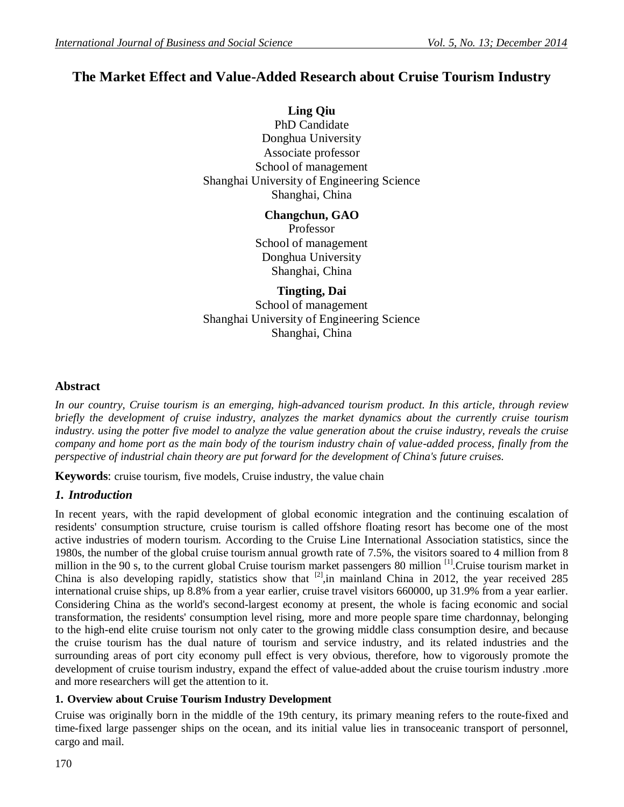# **The Market Effect and Value-Added Research about Cruise Tourism Industry**

**Ling Qiu** PhD Candidate Donghua University Associate professor School of management Shanghai University of Engineering Science Shanghai, China

> **Changchun, GAO** Professor School of management Donghua University Shanghai, China

# **Tingting, Dai**

School of management Shanghai University of Engineering Science Shanghai, China

# **Abstract**

*In our country, Cruise tourism is an emerging, high-advanced tourism product. In this article, through review briefly the development of cruise industry, analyzes the market dynamics about the currently cruise tourism*  industry. using the potter five model to analyze the value generation about the cruise industry, reveals the cruise *company and home port as the main body of the tourism industry chain of value-added process, finally from the perspective of industrial chain theory are put forward for the development of China's future cruises.*

**Keywords**: cruise tourism, five models, Cruise industry, the value chain

# *1. Introduction*

In recent years, with the rapid development of global economic integration and the continuing escalation of residents' consumption structure, cruise tourism is called offshore floating resort has become one of the most active industries of modern tourism. According to the Cruise Line International Association statistics, since the 1980s, the number of the global cruise tourism annual growth rate of 7.5%, the visitors soared to 4 million from 8 million in the 90 s, to the current global Cruise tourism market passengers 80 million <sup>[1]</sup>.Cruise tourism market in China is also developing rapidly, statistics show that  $\frac{[2]}{1}$ , in mainland China in 2012, the year received 285 international cruise ships, up 8.8% from a year earlier, cruise travel visitors 660000, up 31.9% from a year earlier. Considering China as the world's second-largest economy at present, the whole is facing economic and social transformation, the residents' consumption level rising, more and more people spare time chardonnay, belonging to the high-end elite cruise tourism not only cater to the growing middle class consumption desire, and because the cruise tourism has the dual nature of tourism and service industry, and its related industries and the surrounding areas of port city economy pull effect is very obvious, therefore, how to vigorously promote the development of cruise tourism industry, expand the effect of value-added about the cruise tourism industry .more and more researchers will get the attention to it.

# **1. Overview about Cruise Tourism Industry Development**

Cruise was originally born in the middle of the 19th century, its primary meaning refers to the route-fixed and time-fixed large passenger ships on the ocean, and its initial value lies in transoceanic transport of personnel, cargo and mail.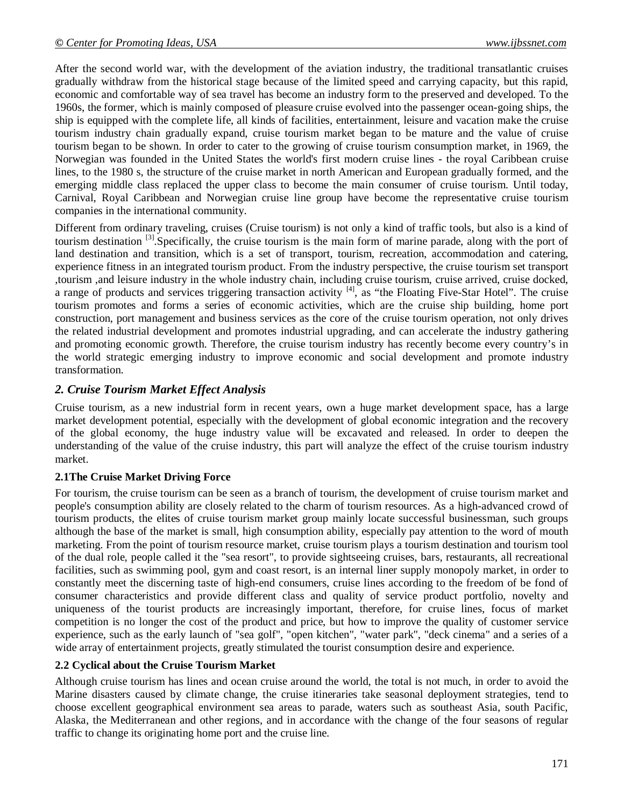After the second world war, with the development of the aviation industry, the traditional transatlantic cruises gradually withdraw from the historical stage because of the limited speed and carrying capacity, but this rapid, economic and comfortable way of sea travel has become an industry form to the preserved and developed. To the 1960s, the former, which is mainly composed of pleasure cruise evolved into the passenger ocean-going ships, the ship is equipped with the complete life, all kinds of facilities, entertainment, leisure and vacation make the cruise tourism industry chain gradually expand, cruise tourism market began to be mature and the value of cruise tourism began to be shown. In order to cater to the growing of cruise tourism consumption market, in 1969, the Norwegian was founded in the United States the world's first modern cruise lines - the royal Caribbean cruise lines, to the 1980 s, the structure of the cruise market in north American and European gradually formed, and the emerging middle class replaced the upper class to become the main consumer of cruise tourism. Until today, Carnival, Royal Caribbean and Norwegian cruise line group have become the representative cruise tourism companies in the international community.

Different from ordinary traveling, cruises (Cruise tourism) is not only a kind of traffic tools, but also is a kind of tourism destination  $^{[3]}$ . Specifically, the cruise tourism is the main form of marine parade, along with the port of land destination and transition, which is a set of transport, tourism, recreation, accommodation and catering, experience fitness in an integrated tourism product. From the industry perspective, the cruise tourism set transport ,tourism ,and leisure industry in the whole industry chain, including cruise tourism, cruise arrived, cruise docked, a range of products and services triggering transaction activity  $\begin{bmatrix} 4 \end{bmatrix}$ , as "the Floating Five-Star Hotel". The cruise tourism promotes and forms a series of economic activities, which are the cruise ship building, home port construction, port management and business services as the core of the cruise tourism operation, not only drives the related industrial development and promotes industrial upgrading, and can accelerate the industry gathering and promoting economic growth. Therefore, the cruise tourism industry has recently become every country's in the world strategic emerging industry to improve economic and social development and promote industry transformation.

# *2. Cruise Tourism Market Effect Analysis*

Cruise tourism, as a new industrial form in recent years, own a huge market development space, has a large market development potential, especially with the development of global economic integration and the recovery of the global economy, the huge industry value will be excavated and released. In order to deepen the understanding of the value of the cruise industry, this part will analyze the effect of the cruise tourism industry market.

# **2.1The Cruise Market Driving Force**

For tourism, the cruise tourism can be seen as a branch of tourism, the development of cruise tourism market and people's consumption ability are closely related to the charm of tourism resources. As a high-advanced crowd of tourism products, the elites of cruise tourism market group mainly locate successful businessman, such groups although the base of the market is small, high consumption ability, especially pay attention to the word of mouth marketing. From the point of tourism resource market, cruise tourism plays a tourism destination and tourism tool of the dual role, people called it the "sea resort", to provide sightseeing cruises, bars, restaurants, all recreational facilities, such as swimming pool, gym and coast resort, is an internal liner supply monopoly market, in order to constantly meet the discerning taste of high-end consumers, cruise lines according to the freedom of be fond of consumer characteristics and provide different class and quality of service product portfolio, novelty and uniqueness of the tourist products are increasingly important, therefore, for cruise lines, focus of market competition is no longer the cost of the product and price, but how to improve the quality of customer service experience, such as the early launch of "sea golf", "open kitchen", "water park", "deck cinema" and a series of a wide array of entertainment projects, greatly stimulated the tourist consumption desire and experience.

#### **2.2 Cyclical about the Cruise Tourism Market**

Although cruise tourism has lines and ocean cruise around the world, the total is not much, in order to avoid the Marine disasters caused by climate change, the cruise itineraries take seasonal deployment strategies, tend to choose excellent geographical environment sea areas to parade, waters such as southeast Asia, south Pacific, Alaska, the Mediterranean and other regions, and in accordance with the change of the four seasons of regular traffic to change its originating home port and the cruise line.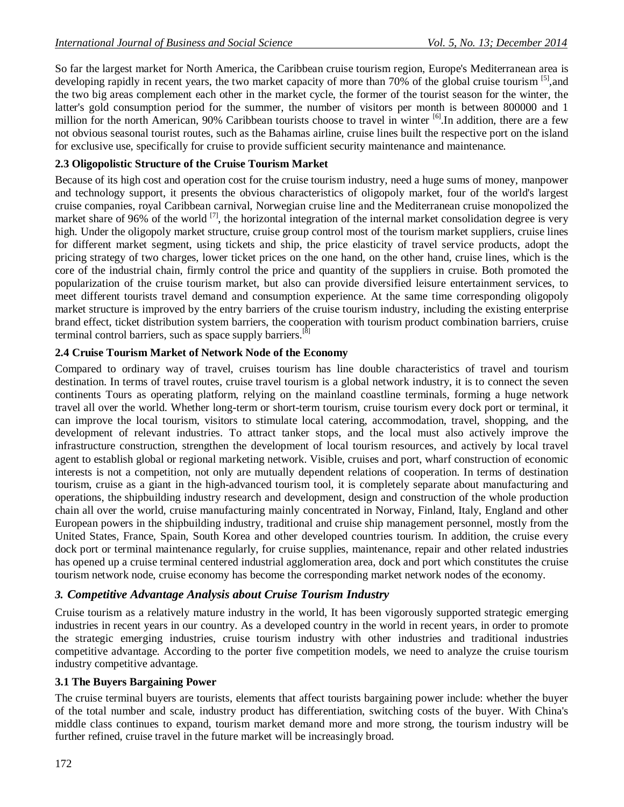So far the largest market for North America, the Caribbean cruise tourism region, Europe's Mediterranean area is developing rapidly in recent years, the two market capacity of more than 70% of the global cruise tourism <sup>[5]</sup>, and the two big areas complement each other in the market cycle, the former of the tourist season for the winter, the latter's gold consumption period for the summer, the number of visitors per month is between 800000 and 1 million for the north American, 90% Caribbean tourists choose to travel in winter <sup>[6]</sup>. In addition, there are a few not obvious seasonal tourist routes, such as the Bahamas airline, cruise lines built the respective port on the island for exclusive use, specifically for cruise to provide sufficient security maintenance and maintenance.

# **2.3 Oligopolistic Structure of the Cruise Tourism Market**

Because of its high cost and operation cost for the cruise tourism industry, need a huge sums of money, manpower and technology support, it presents the obvious characteristics of oligopoly market, four of the world's largest cruise companies, royal Caribbean carnival, Norwegian cruise line and the Mediterranean cruise monopolized the market share of 96% of the world  $^{[7]}$ , the horizontal integration of the internal market consolidation degree is very high. Under the oligopoly market structure, cruise group control most of the tourism market suppliers, cruise lines for different market segment, using tickets and ship, the price elasticity of travel service products, adopt the pricing strategy of two charges, lower ticket prices on the one hand, on the other hand, cruise lines, which is the core of the industrial chain, firmly control the price and quantity of the suppliers in cruise. Both promoted the popularization of the cruise tourism market, but also can provide diversified leisure entertainment services, to meet different tourists travel demand and consumption experience. At the same time corresponding oligopoly market structure is improved by the entry barriers of the cruise tourism industry, including the existing enterprise brand effect, ticket distribution system barriers, the cooperation with tourism product combination barriers, cruise terminal control barriers, such as space supply barriers.<sup>[8]</sup>

# **2.4 Cruise Tourism Market of Network Node of the Economy**

Compared to ordinary way of travel, cruises tourism has line double characteristics of travel and tourism destination. In terms of travel routes, cruise travel tourism is a global network industry, it is to connect the seven continents Tours as operating platform, relying on the mainland coastline terminals, forming a huge network travel all over the world. Whether long-term or short-term tourism, cruise tourism every dock port or terminal, it can improve the local tourism, visitors to stimulate local catering, accommodation, travel, shopping, and the development of relevant industries. To attract tanker stops, and the local must also actively improve the infrastructure construction, strengthen the development of local tourism resources, and actively by local travel agent to establish global or regional marketing network. Visible, cruises and port, wharf construction of economic interests is not a competition, not only are mutually dependent relations of cooperation. In terms of destination tourism, cruise as a giant in the high-advanced tourism tool, it is completely separate about manufacturing and operations, the shipbuilding industry research and development, design and construction of the whole production chain all over the world, cruise manufacturing mainly concentrated in Norway, Finland, Italy, England and other European powers in the shipbuilding industry, traditional and cruise ship management personnel, mostly from the United States, France, Spain, South Korea and other developed countries tourism. In addition, the cruise every dock port or terminal maintenance regularly, for cruise supplies, maintenance, repair and other related industries has opened up a cruise terminal centered industrial agglomeration area, dock and port which constitutes the cruise tourism network node, cruise economy has become the corresponding market network nodes of the economy.

# *3. Competitive Advantage Analysis about Cruise Tourism Industry*

Cruise tourism as a relatively mature industry in the world, It has been vigorously supported strategic emerging industries in recent years in our country. As a developed country in the world in recent years, in order to promote the strategic emerging industries, cruise tourism industry with other industries and traditional industries competitive advantage. According to the porter five competition models, we need to analyze the cruise tourism industry competitive advantage.

#### **3.1 The Buyers Bargaining Power**

The cruise terminal buyers are tourists, elements that affect tourists bargaining power include: whether the buyer of the total number and scale, industry product has differentiation, switching costs of the buyer. With China's middle class continues to expand, tourism market demand more and more strong, the tourism industry will be further refined, cruise travel in the future market will be increasingly broad.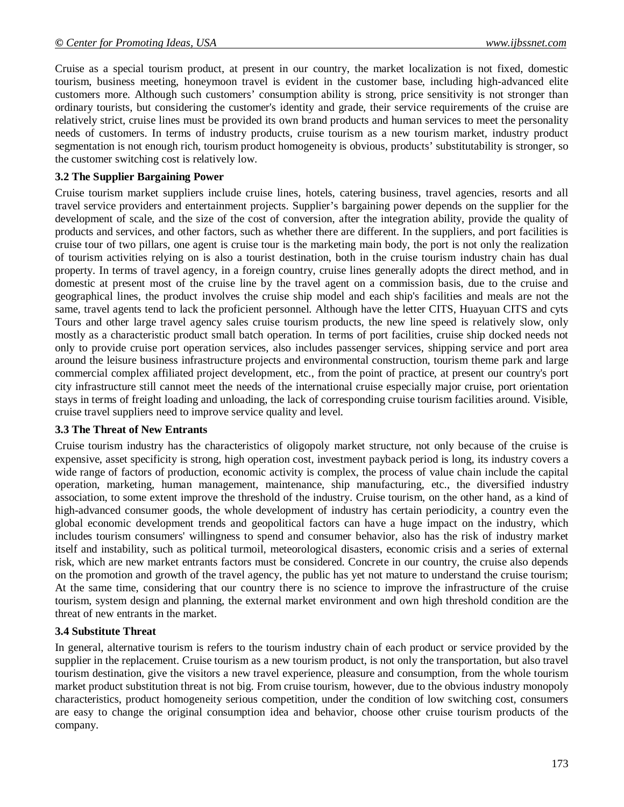Cruise as a special tourism product, at present in our country, the market localization is not fixed, domestic tourism, business meeting, honeymoon travel is evident in the customer base, including high-advanced elite customers more. Although such customers' consumption ability is strong, price sensitivity is not stronger than ordinary tourists, but considering the customer's identity and grade, their service requirements of the cruise are relatively strict, cruise lines must be provided its own brand products and human services to meet the personality needs of customers. In terms of industry products, cruise tourism as a new tourism market, industry product segmentation is not enough rich, tourism product homogeneity is obvious, products' substitutability is stronger, so the customer switching cost is relatively low.

# **3.2 The Supplier Bargaining Power**

Cruise tourism market suppliers include cruise lines, hotels, catering business, travel agencies, resorts and all travel service providers and entertainment projects. Supplier's bargaining power depends on the supplier for the development of scale, and the size of the cost of conversion, after the integration ability, provide the quality of products and services, and other factors, such as whether there are different. In the suppliers, and port facilities is cruise tour of two pillars, one agent is cruise tour is the marketing main body, the port is not only the realization of tourism activities relying on is also a tourist destination, both in the cruise tourism industry chain has dual property. In terms of travel agency, in a foreign country, cruise lines generally adopts the direct method, and in domestic at present most of the cruise line by the travel agent on a commission basis, due to the cruise and geographical lines, the product involves the cruise ship model and each ship's facilities and meals are not the same, travel agents tend to lack the proficient personnel. Although have the letter CITS, Huayuan CITS and cyts Tours and other large travel agency sales cruise tourism products, the new line speed is relatively slow, only mostly as a characteristic product small batch operation. In terms of port facilities, cruise ship docked needs not only to provide cruise port operation services, also includes passenger services, shipping service and port area around the leisure business infrastructure projects and environmental construction, tourism theme park and large commercial complex affiliated project development, etc., from the point of practice, at present our country's port city infrastructure still cannot meet the needs of the international cruise especially major cruise, port orientation stays in terms of freight loading and unloading, the lack of corresponding cruise tourism facilities around. Visible, cruise travel suppliers need to improve service quality and level.

#### **3.3 The Threat of New Entrants**

Cruise tourism industry has the characteristics of oligopoly market structure, not only because of the cruise is expensive, asset specificity is strong, high operation cost, investment payback period is long, its industry covers a wide range of factors of production, economic activity is complex, the process of value chain include the capital operation, marketing, human management, maintenance, ship manufacturing, etc., the diversified industry association, to some extent improve the threshold of the industry. Cruise tourism, on the other hand, as a kind of high-advanced consumer goods, the whole development of industry has certain periodicity, a country even the global economic development trends and geopolitical factors can have a huge impact on the industry, which includes tourism consumers' willingness to spend and consumer behavior, also has the risk of industry market itself and instability, such as political turmoil, meteorological disasters, economic crisis and a series of external risk, which are new market entrants factors must be considered. Concrete in our country, the cruise also depends on the promotion and growth of the travel agency, the public has yet not mature to understand the cruise tourism; At the same time, considering that our country there is no science to improve the infrastructure of the cruise tourism, system design and planning, the external market environment and own high threshold condition are the threat of new entrants in the market.

#### **3.4 Substitute Threat**

In general, alternative tourism is refers to the tourism industry chain of each product or service provided by the supplier in the replacement. Cruise tourism as a new tourism product, is not only the transportation, but also travel tourism destination, give the visitors a new travel experience, pleasure and consumption, from the whole tourism market product substitution threat is not big. From cruise tourism, however, due to the obvious industry monopoly characteristics, product homogeneity serious competition, under the condition of low switching cost, consumers are easy to change the original consumption idea and behavior, choose other cruise tourism products of the company.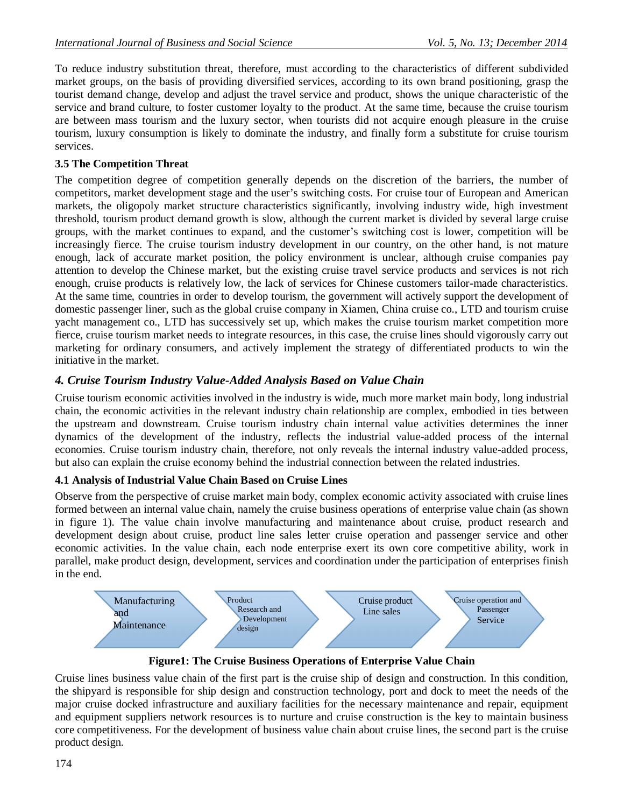To reduce industry substitution threat, therefore, must according to the characteristics of different subdivided market groups, on the basis of providing diversified services, according to its own brand positioning, grasp the tourist demand change, develop and adjust the travel service and product, shows the unique characteristic of the service and brand culture, to foster customer loyalty to the product. At the same time, because the cruise tourism are between mass tourism and the luxury sector, when tourists did not acquire enough pleasure in the cruise tourism, luxury consumption is likely to dominate the industry, and finally form a substitute for cruise tourism services.

# **3.5 The Competition Threat**

The competition degree of competition generally depends on the discretion of the barriers, the number of competitors, market development stage and the user's switching costs. For cruise tour of European and American markets, the oligopoly market structure characteristics significantly, involving industry wide, high investment threshold, tourism product demand growth is slow, although the current market is divided by several large cruise groups, with the market continues to expand, and the customer's switching cost is lower, competition will be increasingly fierce. The cruise tourism industry development in our country, on the other hand, is not mature enough, lack of accurate market position, the policy environment is unclear, although cruise companies pay attention to develop the Chinese market, but the existing cruise travel service products and services is not rich enough, cruise products is relatively low, the lack of services for Chinese customers tailor-made characteristics. At the same time, countries in order to develop tourism, the government will actively support the development of domestic passenger liner, such as the global cruise company in Xiamen, China cruise co., LTD and tourism cruise yacht management co., LTD has successively set up, which makes the cruise tourism market competition more fierce, cruise tourism market needs to integrate resources, in this case, the cruise lines should vigorously carry out marketing for ordinary consumers, and actively implement the strategy of differentiated products to win the initiative in the market.

# *4. Cruise Tourism Industry Value-Added Analysis Based on Value Chain*

Cruise tourism economic activities involved in the industry is wide, much more market main body, long industrial chain, the economic activities in the relevant industry chain relationship are complex, embodied in ties between the upstream and downstream. Cruise tourism industry chain internal value activities determines the inner dynamics of the development of the industry, reflects the industrial value-added process of the internal economies. Cruise tourism industry chain, therefore, not only reveals the internal industry value-added process, but also can explain the cruise economy behind the industrial connection between the related industries.

# **4.1 Analysis of Industrial Value Chain Based on Cruise Lines**

Observe from the perspective of cruise market main body, complex economic activity associated with cruise lines formed between an internal value chain, namely the cruise business operations of enterprise value chain (as shown in figure 1). The value chain involve manufacturing and maintenance about cruise, product research and development design about cruise, product line sales letter cruise operation and passenger service and other economic activities. In the value chain, each node enterprise exert its own core competitive ability, work in parallel, make product design, development, services and coordination under the participation of enterprises finish in the end.



**Figure1: The Cruise Business Operations of Enterprise Value Chain**

Cruise lines business value chain of the first part is the cruise ship of design and construction. In this condition, the shipyard is responsible for ship design and construction technology, port and dock to meet the needs of the major cruise docked infrastructure and auxiliary facilities for the necessary maintenance and repair, equipment and equipment suppliers network resources is to nurture and cruise construction is the key to maintain business core competitiveness. For the development of business value chain about cruise lines, the second part is the cruise product design.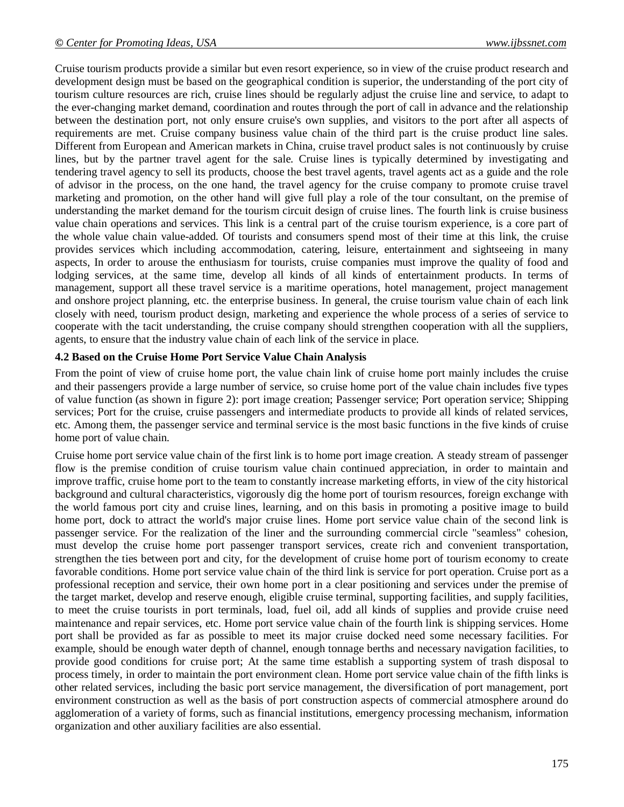Cruise tourism products provide a similar but even resort experience, so in view of the cruise product research and development design must be based on the geographical condition is superior, the understanding of the port city of tourism culture resources are rich, cruise lines should be regularly adjust the cruise line and service, to adapt to the ever-changing market demand, coordination and routes through the port of call in advance and the relationship between the destination port, not only ensure cruise's own supplies, and visitors to the port after all aspects of requirements are met. Cruise company business value chain of the third part is the cruise product line sales. Different from European and American markets in China, cruise travel product sales is not continuously by cruise lines, but by the partner travel agent for the sale. Cruise lines is typically determined by investigating and tendering travel agency to sell its products, choose the best travel agents, travel agents act as a guide and the role of advisor in the process, on the one hand, the travel agency for the cruise company to promote cruise travel marketing and promotion, on the other hand will give full play a role of the tour consultant, on the premise of understanding the market demand for the tourism circuit design of cruise lines. The fourth link is cruise business value chain operations and services. This link is a central part of the cruise tourism experience, is a core part of the whole value chain value-added. Of tourists and consumers spend most of their time at this link, the cruise provides services which including accommodation, catering, leisure, entertainment and sightseeing in many aspects, In order to arouse the enthusiasm for tourists, cruise companies must improve the quality of food and lodging services, at the same time, develop all kinds of all kinds of entertainment products. In terms of management, support all these travel service is a maritime operations, hotel management, project management and onshore project planning, etc. the enterprise business. In general, the cruise tourism value chain of each link closely with need, tourism product design, marketing and experience the whole process of a series of service to cooperate with the tacit understanding, the cruise company should strengthen cooperation with all the suppliers, agents, to ensure that the industry value chain of each link of the service in place.

#### **4.2 Based on the Cruise Home Port Service Value Chain Analysis**

From the point of view of cruise home port, the value chain link of cruise home port mainly includes the cruise and their passengers provide a large number of service, so cruise home port of the value chain includes five types of value function (as shown in figure 2): port image creation; Passenger service; Port operation service; Shipping services; Port for the cruise, cruise passengers and intermediate products to provide all kinds of related services, etc. Among them, the passenger service and terminal service is the most basic functions in the five kinds of cruise home port of value chain.

Cruise home port service value chain of the first link is to home port image creation. A steady stream of passenger flow is the premise condition of cruise tourism value chain continued appreciation, in order to maintain and improve traffic, cruise home port to the team to constantly increase marketing efforts, in view of the city historical background and cultural characteristics, vigorously dig the home port of tourism resources, foreign exchange with the world famous port city and cruise lines, learning, and on this basis in promoting a positive image to build home port, dock to attract the world's major cruise lines. Home port service value chain of the second link is passenger service. For the realization of the liner and the surrounding commercial circle "seamless" cohesion, must develop the cruise home port passenger transport services, create rich and convenient transportation, strengthen the ties between port and city, for the development of cruise home port of tourism economy to create favorable conditions. Home port service value chain of the third link is service for port operation. Cruise port as a professional reception and service, their own home port in a clear positioning and services under the premise of the target market, develop and reserve enough, eligible cruise terminal, supporting facilities, and supply facilities, to meet the cruise tourists in port terminals, load, fuel oil, add all kinds of supplies and provide cruise need maintenance and repair services, etc. Home port service value chain of the fourth link is shipping services. Home port shall be provided as far as possible to meet its major cruise docked need some necessary facilities. For example, should be enough water depth of channel, enough tonnage berths and necessary navigation facilities, to provide good conditions for cruise port; At the same time establish a supporting system of trash disposal to process timely, in order to maintain the port environment clean. Home port service value chain of the fifth links is other related services, including the basic port service management, the diversification of port management, port environment construction as well as the basis of port construction aspects of commercial atmosphere around do agglomeration of a variety of forms, such as financial institutions, emergency processing mechanism, information organization and other auxiliary facilities are also essential.